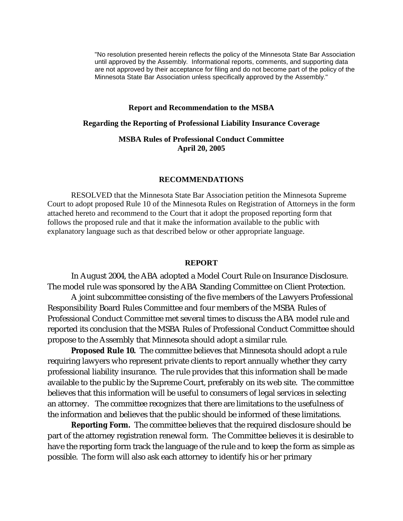"No resolution presented herein reflects the policy of the Minnesota State Bar Association until approved by the Assembly. Informational reports, comments, and supporting data are not approved by their acceptance for filing and do not become part of the policy of the Minnesota State Bar Association unless specifically approved by the Assembly."

## **Report and Recommendation to the MSBA**

### **Regarding the Reporting of Professional Liability Insurance Coverage**

# **MSBA Rules of Professional Conduct Committee April 20, 2005**

## **RECOMMENDATIONS**

RESOLVED that the Minnesota State Bar Association petition the Minnesota Supreme Court to adopt proposed Rule 10 of the Minnesota Rules on Registration of Attorneys in the form attached hereto and recommend to the Court that it adopt the proposed reporting form that follows the proposed rule and that it make the information available to the public with explanatory language such as that described below or other appropriate language.

#### **REPORT**

In August 2004, the ABA adopted a Model Court Rule on Insurance Disclosure. The model rule was sponsored by the ABA Standing Committee on Client Protection.

A joint subcommittee consisting of the five members of the Lawyers Professional Responsibility Board Rules Committee and four members of the MSBA Rules of Professional Conduct Committee met several times to discuss the ABA model rule and reported its conclusion that the MSBA Rules of Professional Conduct Committee should propose to the Assembly that Minnesota should adopt a similar rule.

**Proposed Rule 10.** The committee believes that Minnesota should adopt a rule requiring lawyers who represent private clients to report annually whether they carry professional liability insurance. The rule provides that this information shall be made available to the public by the Supreme Court, preferably on its web site. The committee believes that this information will be useful to consumers of legal services in selecting an attorney. The committee recognizes that there are limitations to the usefulness of the information and believes that the public should be informed of these limitations.

**Reporting Form.** The committee believes that the required disclosure should be part of the attorney registration renewal form. The Committee believes it is desirable to have the reporting form track the language of the rule and to keep the form as simple as possible. The form will also ask each attorney to identify his or her primary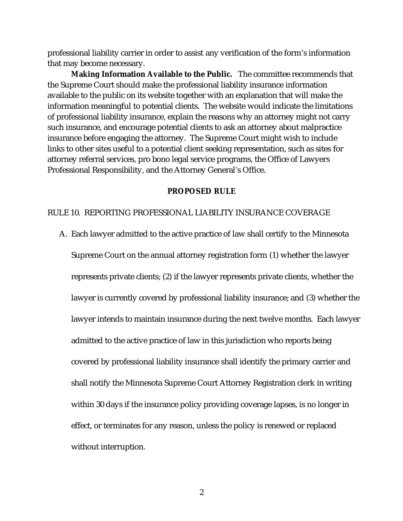professional liability carrier in order to assist any verification of the form's information that may become necessary.

**Making Information Available to the Public.** The committee recommends that the Supreme Court should make the professional liability insurance information available to the public on its website together with an explanation that will make the information meaningful to potential clients. The website would indicate the limitations of professional liability insurance, explain the reasons why an attorney might not carry such insurance, and encourage potential clients to ask an attorney about malpractice insurance before engaging the attorney. The Supreme Court might wish to include links to other sites useful to a potential client seeking representation, such as sites for attorney referral services, pro bono legal service programs, the Office of Lawyers Professional Responsibility, and the Attorney General's Office.

#### **PROPOSED RULE**

## RULE 10. REPORTING PROFESSIONAL LIABILITY INSURANCE COVERAGE

A. Each lawyer admitted to the active practice of law shall certify to the Minnesota

Supreme Court on the annual attorney registration form (1) whether the lawyer represents private clients; (2) if the lawyer represents private clients, whether the lawyer is currently covered by professional liability insurance; and (3) whether the lawyer intends to maintain insurance during the next twelve months. Each lawyer admitted to the active practice of law in this jurisdiction who reports being covered by professional liability insurance shall identify the primary carrier and shall notify the Minnesota Supreme Court Attorney Registration clerk in writing within 30 days if the insurance policy providing coverage lapses, is no longer in effect, or terminates for any reason, unless the policy is renewed or replaced without interruption.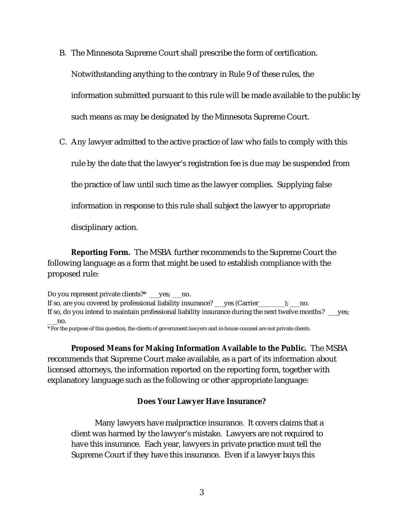B. The Minnesota Supreme Court shall prescribe the form of certification.

Notwithstanding anything to the contrary in Rule 9 of these rules, the

information submitted pursuant to this rule will be made available to the public by

such means as may be designated by the Minnesota Supreme Court.

C. Any lawyer admitted to the active practice of law who fails to comply with this

rule by the date that the lawyer's registration fee is due may be suspended from

the practice of law until such time as the lawyer complies. Supplying false

information in response to this rule shall subject the lawyer to appropriate

disciplinary action.

**Reporting Form.** The MSBA further recommends to the Supreme Court the following language as a form that might be used to establish compliance with the proposed rule:

Do you represent private clients?\* \_\_yes; \_\_no. If so, are you covered by professional liability insurance? \_\_\_yes (Carrier\_\_\_\_\_\_\_\_); \_\_\_no. If so, do you intend to maintain professional liability insurance during the next twelve months? \_\_\_yes; \_\_\_no.

\* For the purpose of this question, the clients of government lawyers and in-house counsel are not private clients.

**Proposed Means for Making Information Available to the Public.** The MSBA recommends that Supreme Court make available, as a part of its information about licensed attorneys, the information reported on the reporting form, together with explanatory language such as the following or other appropriate language:

**Does Your Lawyer Have Insurance?**

Many lawyers have malpractice insurance. It covers claims that a client was harmed by the lawyer's mistake. Lawyers are not required to have this insurance. Each year, lawyers in private practice must tell the Supreme Court if they have this insurance. Even if a lawyer buys this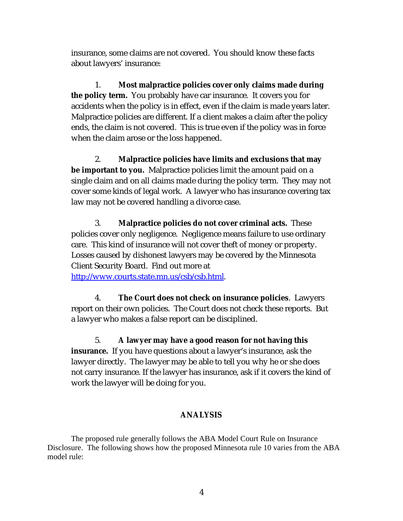insurance, some claims are not covered. You should know these facts about lawyers' insurance:

1. **Most malpractice policies cover only claims made during the policy term.** You probably have car insurance. It covers you for accidents when the policy is in effect, even if the claim is made years later. Malpractice policies are different. If a client makes a claim after the policy ends, the claim is not covered. This is true even if the policy was in force when the claim arose or the loss happened.

2. **Malpractice policies have limits and exclusions that may be important to you.** Malpractice policies limit the amount paid on a single claim and on all claims made during the policy term. They may not cover some kinds of legal work. A lawyer who has insurance covering tax law may not be covered handling a divorce case.

3. **Malpractice policies do not cover criminal acts.** These policies cover only negligence. Negligence means failure to use ordinary care. This kind of insurance will not cover theft of money or property. Losses caused by dishonest lawyers may be covered by the Minnesota Client Security Board. Find out more at

http://www.courts.state.mn.us/csb/csb.html.

4. **The Court does not check on insurance policies**. Lawyers report on their own policies. The Court does not check these reports. But a lawyer who makes a false report can be disciplined.

5. **A lawyer may have a good reason for not having this insurance.** If you have questions about a lawyer's insurance, ask the lawyer directly. The lawyer may be able to tell you why he or she does not carry insurance. If the lawyer has insurance, ask if it covers the kind of work the lawyer will be doing for you.

## **ANALYSIS**

The proposed rule generally follows the ABA Model Court Rule on Insurance Disclosure. The following shows how the proposed Minnesota rule 10 varies from the ABA model rule: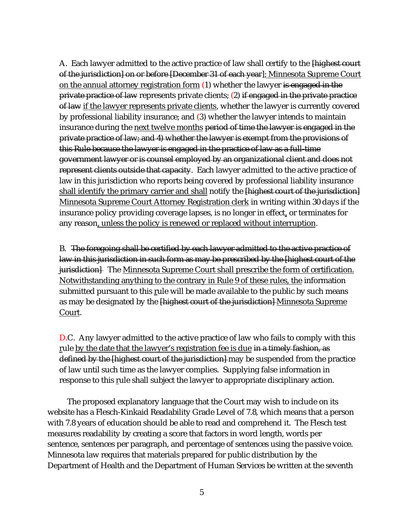A. Each lawyer admitted to the active practice of law shall certify to the **Highest court** of the jurisdiction] on or before [December 31 of each year]; Minnesota Supreme Court on the annual attorney registration form (1) whether the lawyer is engaged in the private practice of law represents private clients; (2) if engaged in the private practice of law if the lawyer represents private clients, whether the lawyer is currently covered by professional liability insurance; and (3) whether the lawyer intends to maintain insurance during the next twelve months period of time the lawyer is engaged in the private practice of law; and 4) whether the lawyer is exempt from the provisions of this Rule because the lawyer is engaged in the practice of law as a full-time government lawyer or is counsel employed by an organizational client and does not represent clients outside that capacity. Each lawyer admitted to the active practice of law in this jurisdiction who reports being covered by professional liability insurance shall identify the primary carrier and shall notify the  $\{$ highest court of the jurisdiction $\}$ Minnesota Supreme Court Attorney Registration clerk in writing within 30 days if the insurance policy providing coverage lapses, is no longer in effect, or terminates for any reason, unless the policy is renewed or replaced without interruption.

B. The foregoing shall be certified by each lawyer admitted to the active practice of law in this jurisdiction in such form as may be prescribed by the [highest court of the jurisdiction. The Minnesota Supreme Court shall prescribe the form of certification. Notwithstanding anything to the contrary in Rule 9 of these rules, the information submitted pursuant to this rule will be made available to the public by such means as may be designated by the **Highest court of the jurisdiction** Minnesota Supreme Court.

D.C. Any lawyer admitted to the active practice of law who fails to comply with this rule by the date that the lawyer's registration fee is due in a timely fashion, as defined by the [highest court of the jurisdiction] may be suspended from the practice of law until such time as the lawyer complies. Supplying false information in response to this rule shall subject the lawyer to appropriate disciplinary action.

 The proposed explanatory language that the Court may wish to include on its website has a Flesch-Kinkaid Readability Grade Level of 7.8, which means that a person with 7.8 years of education should be able to read and comprehend it. The Flesch test measures readability by creating a score that factors in word length, words per sentence, sentences per paragraph, and percentage of sentences using the passive voice. Minnesota law requires that materials prepared for public distribution by the Department of Health and the Department of Human Services be written at the seventh